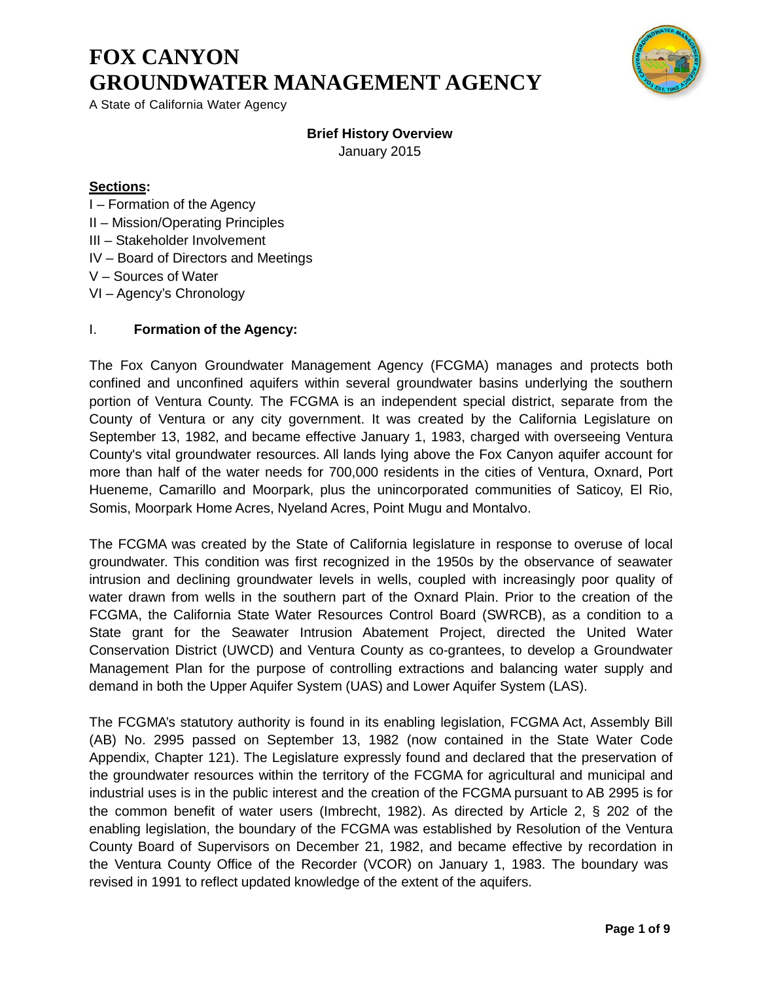# **FOX CANYON GROUNDWATER MANAGEMENT AGENCY**



A State of California Water Agency

## **Brief History Overview**

January 2015

## **Sections:**

- I Formation of the Agency
- II Mission/Operating Principles
- III Stakeholder Involvement
- IV Board of Directors and Meetings
- V Sources of Water
- VI Agency's Chronology

## I. **Formation of the Agency:**

The Fox Canyon Groundwater Management Agency (FCGMA) manages and protects both confined and unconfined aquifers within several groundwater basins underlying the southern portion of Ventura County. The FCGMA is an independent special district, separate from the County of Ventura or any city government. It was created by the California Legislature on September 13, 1982, and became effective January 1, 1983, charged with overseeing Ventura County's vital groundwater resources. All lands lying above the Fox Canyon aquifer account for more than half of the water needs for 700,000 residents in the cities of Ventura, Oxnard, Port Hueneme, Camarillo and Moorpark, plus the unincorporated communities of Saticoy, El Rio, Somis, Moorpark Home Acres, Nyeland Acres, Point Mugu and Montalvo.

The FCGMA was created by the State of California legislature in response to overuse of local groundwater. This condition was first recognized in the 1950s by the observance of seawater intrusion and declining groundwater levels in wells, coupled with increasingly poor quality of water drawn from wells in the southern part of the Oxnard Plain. Prior to the creation of the FCGMA, the California State Water Resources Control Board (SWRCB), as a condition to a State grant for the Seawater Intrusion Abatement Project, directed the United Water Conservation District (UWCD) and Ventura County as co-grantees, to develop a Groundwater Management Plan for the purpose of controlling extractions and balancing water supply and demand in both the Upper Aquifer System (UAS) and Lower Aquifer System (LAS).

The FCGMA's statutory authority is found in its enabling legislation, FCGMA Act, Assembly Bill (AB) No. 2995 passed on September 13, 1982 (now contained in the State Water Code Appendix, Chapter 121). The Legislature expressly found and declared that the preservation of the groundwater resources within the territory of the FCGMA for agricultural and municipal and industrial uses is in the public interest and the creation of the FCGMA pursuant to AB 2995 is for the common benefit of water users (Imbrecht, 1982). As directed by Article 2, § 202 of the enabling legislation, the boundary of the FCGMA was established by Resolution of the Ventura County Board of Supervisors on December 21, 1982, and became effective by recordation in the Ventura County Office of the Recorder (VCOR) on January 1, 1983. The boundary was revised in 1991 to reflect updated knowledge of the extent of the aquifers.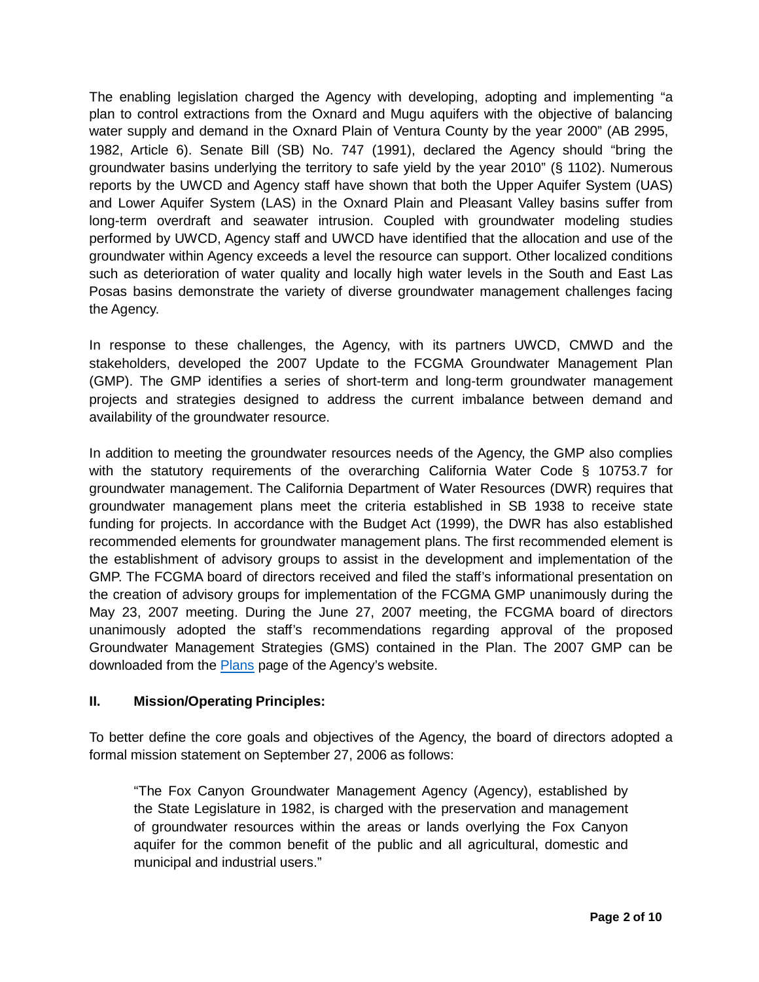The enabling legislation charged the Agency with developing, adopting and implementing "a plan to control extractions from the Oxnard and Mugu aquifers with the objective of balancing water supply and demand in the Oxnard Plain of Ventura County by the year 2000" (AB 2995, 1982, Article 6). Senate Bill (SB) No. 747 (1991), declared the Agency should "bring the groundwater basins underlying the territory to safe yield by the year 2010" (§ 1102). Numerous reports by the UWCD and Agency staff have shown that both the Upper Aquifer System (UAS) and Lower Aquifer System (LAS) in the Oxnard Plain and Pleasant Valley basins suffer from long-term overdraft and seawater intrusion. Coupled with groundwater modeling studies performed by UWCD, Agency staff and UWCD have identified that the allocation and use of the groundwater within Agency exceeds a level the resource can support. Other localized conditions such as deterioration of water quality and locally high water levels in the South and East Las Posas basins demonstrate the variety of diverse groundwater management challenges facing the Agency.

In response to these challenges, the Agency, with its partners UWCD, CMWD and the stakeholders, developed the 2007 Update to the FCGMA Groundwater Management Plan (GMP). The GMP identifies a series of short-term and long-term groundwater management projects and strategies designed to address the current imbalance between demand and availability of the groundwater resource.

In addition to meeting the groundwater resources needs of the Agency, the GMP also complies with the statutory requirements of the overarching California Water Code § 10753.7 for groundwater management. The California Department of Water Resources (DWR) requires that groundwater management plans meet the criteria established in SB 1938 to receive state funding for projects. In accordance with the Budget Act (1999), the DWR has also established recommended elements for groundwater management plans. The first recommended element is the establishment of advisory groups to assist in the development and implementation of the GMP. The FCGMA board of directors received and filed the staff's informational presentation on the creation of advisory groups for implementation of the FCGMA GMP unanimously during the May 23, 2007 meeting. During the June 27, 2007 meeting, the FCGMA board of directors unanimously adopted the staff's recommendations regarding approval of the proposed Groundwater Management Strategies (GMS) contained in the Plan. The 2007 GMP can be downloaded from the **Plans** page of the Agency's website.

## **II. Mission/Operating Principles:**

To better define the core goals and objectives of the Agency, the board of directors adopted a formal mission statement on September 27, 2006 as follows:

"The Fox Canyon Groundwater Management Agency (Agency), established by the State Legislature in 1982, is charged with the preservation and management of groundwater resources within the areas or lands overlying the Fox Canyon aquifer for the common benefit of the public and all agricultural, domestic and municipal and industrial users."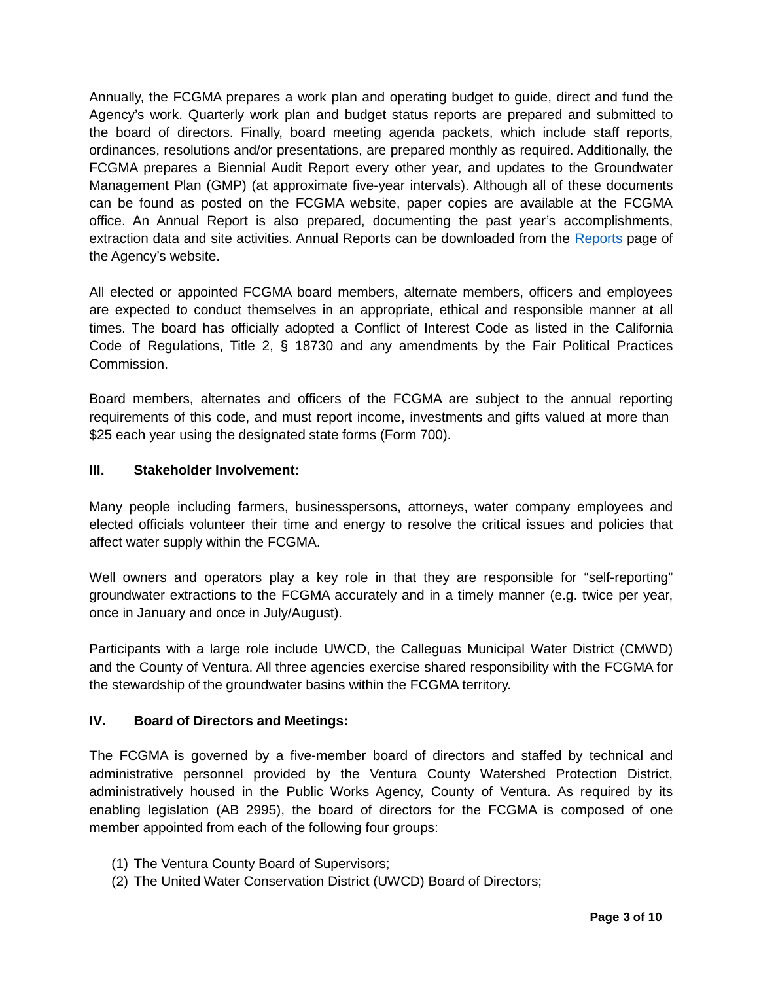Annually, the FCGMA prepares a work plan and operating budget to guide, direct and fund the Agency's work. Quarterly work plan and budget status reports are prepared and submitted to the board of directors. Finally, board meeting agenda packets, which include staff reports, ordinances, resolutions and/or presentations, are prepared monthly as required. Additionally, the FCGMA prepares a Biennial Audit Report every other year, and updates to the Groundwater Management Plan (GMP) (at approximate five-year intervals). Although all of these documents can be found as posted on the FCGMA website, paper copies are available at the FCGMA office. An Annual Report is also prepared, documenting the past year's accomplishments, extraction data and site activities. Annual Reports can be downloaded from the Reports page of the Agency's website.

All elected or appointed FCGMA board members, alternate members, officers and employees are expected to conduct themselves in an appropriate, ethical and responsible manner at all times. The board has officially adopted a Conflict of Interest Code as listed in the California Code of Regulations, Title 2, § 18730 and any amendments by the Fair Political Practices Commission.

Board members, alternates and officers of the FCGMA are subject to the annual reporting requirements of this code, and must report income, investments and gifts valued at more than \$25 each year using the designated state forms (Form 700).

### **III. Stakeholder Involvement:**

Many people including farmers, businesspersons, attorneys, water company employees and elected officials volunteer their time and energy to resolve the critical issues and policies that affect water supply within the FCGMA.

Well owners and operators play a key role in that they are responsible for "self-reporting" groundwater extractions to the FCGMA accurately and in a timely manner (e.g. twice per year, once in January and once in July/August).

Participants with a large role include UWCD, the Calleguas Municipal Water District (CMWD) and the County of Ventura. All three agencies exercise shared responsibility with the FCGMA for the stewardship of the groundwater basins within the FCGMA territory.

### **IV. Board of Directors and Meetings:**

The FCGMA is governed by a five-member board of directors and staffed by technical and administrative personnel provided by the Ventura County Watershed Protection District, administratively housed in the Public Works Agency, County of Ventura. As required by its enabling legislation (AB 2995), the board of directors for the FCGMA is composed of one member appointed from each of the following four groups:

- (1) The Ventura County Board of Supervisors;
- (2) The United Water Conservation District (UWCD) Board of Directors;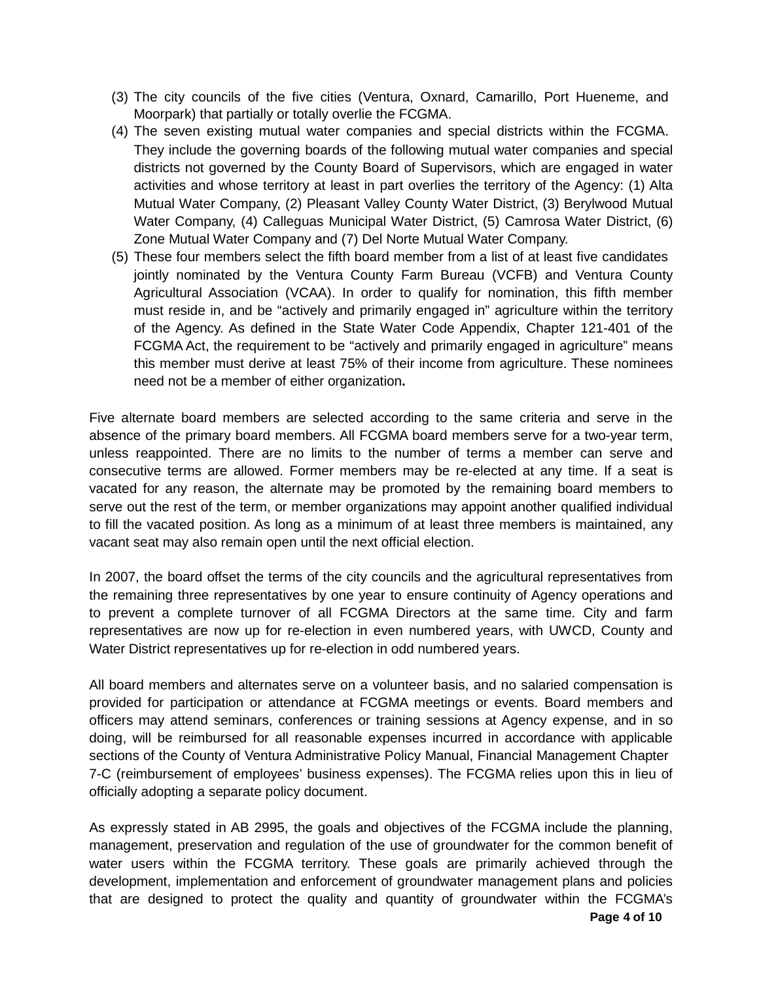- (3) The city councils of the five cities (Ventura, Oxnard, Camarillo, Port Hueneme, and Moorpark) that partially or totally overlie the FCGMA.
- (4) The seven existing mutual water companies and special districts within the FCGMA. They include the governing boards of the following mutual water companies and special districts not governed by the County Board of Supervisors, which are engaged in water activities and whose territory at least in part overlies the territory of the Agency: (1) Alta Mutual Water Company, (2) Pleasant Valley County Water District, (3) Berylwood Mutual Water Company, (4) Calleguas Municipal Water District, (5) Camrosa Water District, (6) Zone Mutual Water Company and (7) Del Norte Mutual Water Company.
- (5) These four members select the fifth board member from a list of at least five candidates jointly nominated by the Ventura County Farm Bureau (VCFB) and Ventura County Agricultural Association (VCAA). In order to qualify for nomination, this fifth member must reside in, and be "actively and primarily engaged in" agriculture within the territory of the Agency. As defined in the State Water Code Appendix, Chapter 121-401 of the FCGMA Act, the requirement to be "actively and primarily engaged in agriculture" means this member must derive at least 75% of their income from agriculture. These nominees need not be a member of either organization**.**

Five alternate board members are selected according to the same criteria and serve in the absence of the primary board members. All FCGMA board members serve for a two-year term, unless reappointed. There are no limits to the number of terms a member can serve and consecutive terms are allowed. Former members may be re-elected at any time. If a seat is vacated for any reason, the alternate may be promoted by the remaining board members to serve out the rest of the term, or member organizations may appoint another qualified individual to fill the vacated position. As long as a minimum of at least three members is maintained, any vacant seat may also remain open until the next official election.

In 2007, the board offset the terms of the city councils and the agricultural representatives from the remaining three representatives by one year to ensure continuity of Agency operations and to prevent a complete turnover of all FCGMA Directors at the same time. City and farm representatives are now up for re-election in even numbered years, with UWCD, County and Water District representatives up for re-election in odd numbered years.

All board members and alternates serve on a volunteer basis, and no salaried compensation is provided for participation or attendance at FCGMA meetings or events. Board members and officers may attend seminars, conferences or training sessions at Agency expense, and in so doing, will be reimbursed for all reasonable expenses incurred in accordance with applicable sections of the County of Ventura Administrative Policy Manual, Financial Management Chapter 7-C (reimbursement of employees' business expenses). The FCGMA relies upon this in lieu of officially adopting a separate policy document.

As expressly stated in AB 2995, the goals and objectives of the FCGMA include the planning, management, preservation and regulation of the use of groundwater for the common benefit of water users within the FCGMA territory. These goals are primarily achieved through the development, implementation and enforcement of groundwater management plans and policies that are designed to protect the quality and quantity of groundwater within the FCGMA's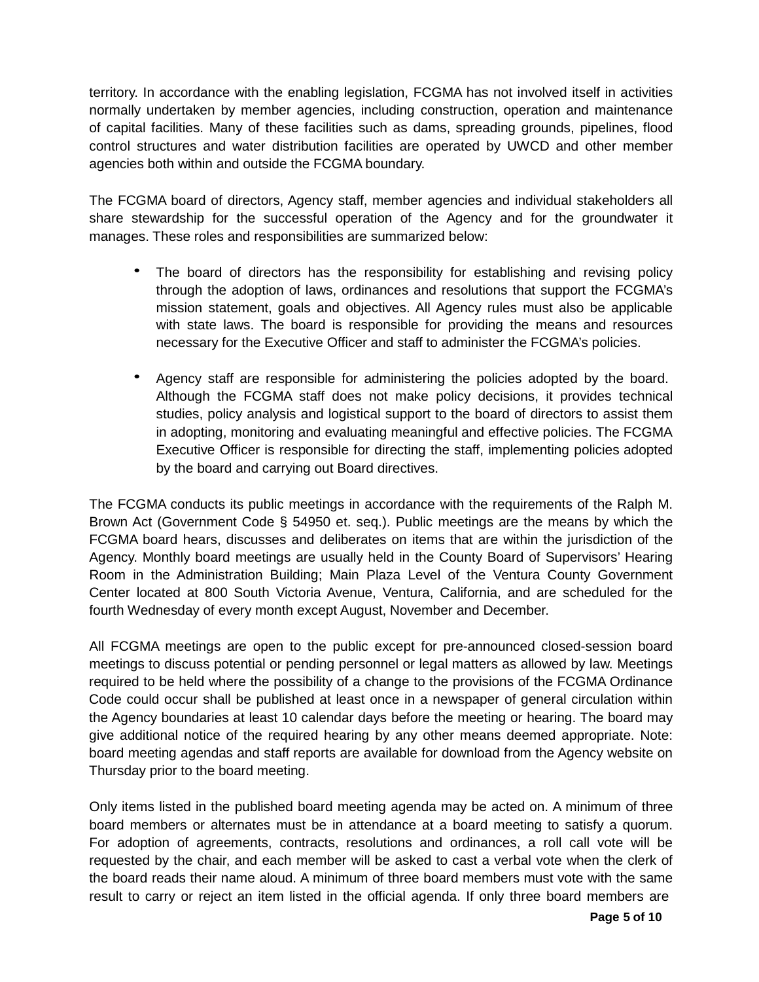territory. In accordance with the enabling legislation, FCGMA has not involved itself in activities normally undertaken by member agencies, including construction, operation and maintenance of capital facilities. Many of these facilities such as dams, spreading grounds, pipelines, flood control structures and water distribution facilities are operated by UWCD and other member agencies both within and outside the FCGMA boundary.

The FCGMA board of directors, Agency staff, member agencies and individual stakeholders all share stewardship for the successful operation of the Agency and for the groundwater it manages. These roles and responsibilities are summarized below:

- The board of directors has the responsibility for establishing and revising policy through the adoption of laws, ordinances and resolutions that support the FCGMA's mission statement, goals and objectives. All Agency rules must also be applicable with state laws. The board is responsible for providing the means and resources necessary for the Executive Officer and staff to administer the FCGMA's policies.
- Agency staff are responsible for administering the policies adopted by the board. Although the FCGMA staff does not make policy decisions, it provides technical studies, policy analysis and logistical support to the board of directors to assist them in adopting, monitoring and evaluating meaningful and effective policies. The FCGMA Executive Officer is responsible for directing the staff, implementing policies adopted by the board and carrying out Board directives.

The FCGMA conducts its public meetings in accordance with the requirements of the Ralph M. Brown Act (Government Code § 54950 et. seq.). Public meetings are the means by which the FCGMA board hears, discusses and deliberates on items that are within the jurisdiction of the Agency. Monthly board meetings are usually held in the County Board of Supervisors' Hearing Room in the Administration Building; Main Plaza Level of the Ventura County Government Center located at 800 South Victoria Avenue, Ventura, California, and are scheduled for the fourth Wednesday of every month except August, November and December.

All FCGMA meetings are open to the public except for pre-announced closed-session board meetings to discuss potential or pending personnel or legal matters as allowed by law. Meetings required to be held where the possibility of a change to the provisions of the FCGMA Ordinance Code could occur shall be published at least once in a newspaper of general circulation within the Agency boundaries at least 10 calendar days before the meeting or hearing. The board may give additional notice of the required hearing by any other means deemed appropriate. Note: board meeting agendas and staff reports are available for download from the Agency website on Thursday prior to the board meeting.

Only items listed in the published board meeting agenda may be acted on. A minimum of three board members or alternates must be in attendance at a board meeting to satisfy a quorum. For adoption of agreements, contracts, resolutions and ordinances, a roll call vote will be requested by the chair, and each member will be asked to cast a verbal vote when the clerk of the board reads their name aloud. A minimum of three board members must vote with the same result to carry or reject an item listed in the official agenda. If only three board members are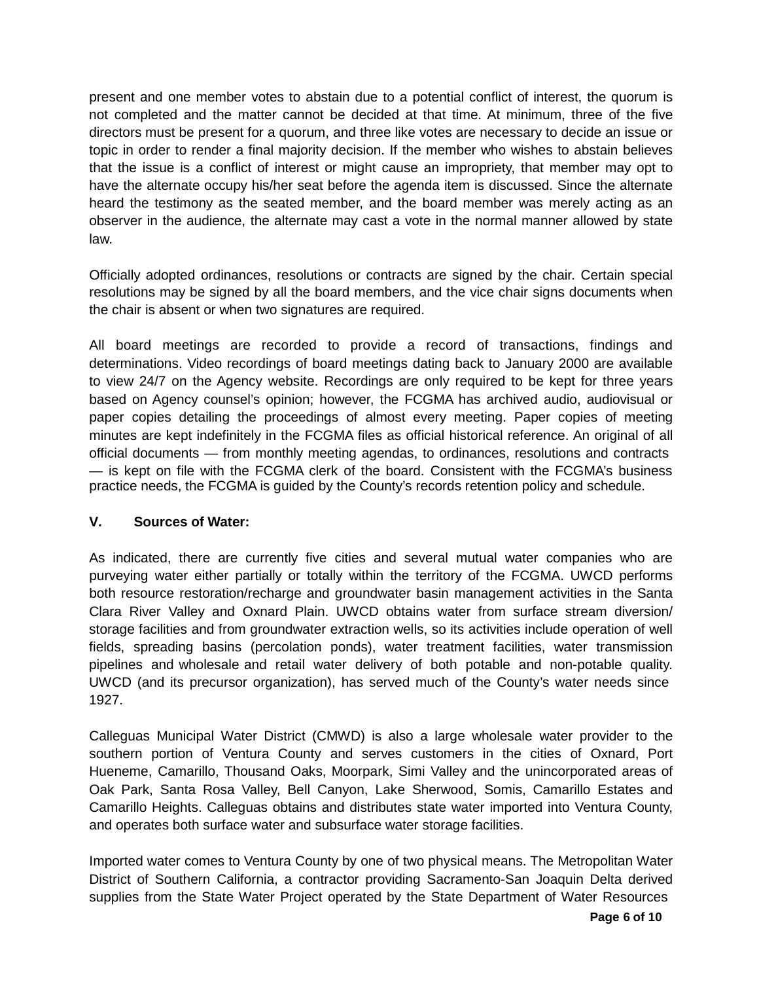present and one member votes to abstain due to a potential conflict of interest, the quorum is not completed and the matter cannot be decided at that time. At minimum, three of the five directors must be present for a quorum, and three like votes are necessary to decide an issue or topic in order to render a final majority decision. If the member who wishes to abstain believes that the issue is a conflict of interest or might cause an impropriety, that member may opt to have the alternate occupy his/her seat before the agenda item is discussed. Since the alternate heard the testimony as the seated member, and the board member was merely acting as an observer in the audience, the alternate may cast a vote in the normal manner allowed by state law.

Officially adopted ordinances, resolutions or contracts are signed by the chair. Certain special resolutions may be signed by all the board members, and the vice chair signs documents when the chair is absent or when two signatures are required.

All board meetings are recorded to provide a record of transactions, findings and determinations. Video recordings of board meetings dating back to January 2000 are available to view 24/7 on the Agency website. Recordings are only required to be kept for three years based on Agency counsel's opinion; however, the FCGMA has archived audio, audiovisual or paper copies detailing the proceedings of almost every meeting. Paper copies of meeting minutes are kept indefinitely in the FCGMA files as official historical reference. An original of all official documents — from monthly meeting agendas, to ordinances, resolutions and contracts — is kept on file with the FCGMA clerk of the board. Consistent with the FCGMA's business practice needs, the FCGMA is guided by the County's records retention policy and schedule.

### **V. Sources of Water:**

As indicated, there are currently five cities and several mutual water companies who are purveying water either partially or totally within the territory of the FCGMA. UWCD performs both resource restoration/recharge and groundwater basin management activities in the Santa Clara River Valley and Oxnard Plain. UWCD obtains water from surface stream diversion/ storage facilities and from groundwater extraction wells, so its activities include operation of well fields, spreading basins (percolation ponds), water treatment facilities, water transmission pipelines and wholesale and retail water delivery of both potable and non-potable quality. UWCD (and its precursor organization), has served much of the County's water needs since 1927.

Calleguas Municipal Water District (CMWD) is also a large wholesale water provider to the southern portion of Ventura County and serves customers in the cities of Oxnard, Port Hueneme, Camarillo, Thousand Oaks, Moorpark, Simi Valley and the unincorporated areas of Oak Park, Santa Rosa Valley, Bell Canyon, Lake Sherwood, Somis, Camarillo Estates and Camarillo Heights. Calleguas obtains and distributes state water imported into Ventura County, and operates both surface water and subsurface water storage facilities.

Imported water comes to Ventura County by one of two physical means. The Metropolitan Water District of Southern California, a contractor providing Sacramento-San Joaquin Delta derived supplies from the State Water Project operated by the State Department of Water Resources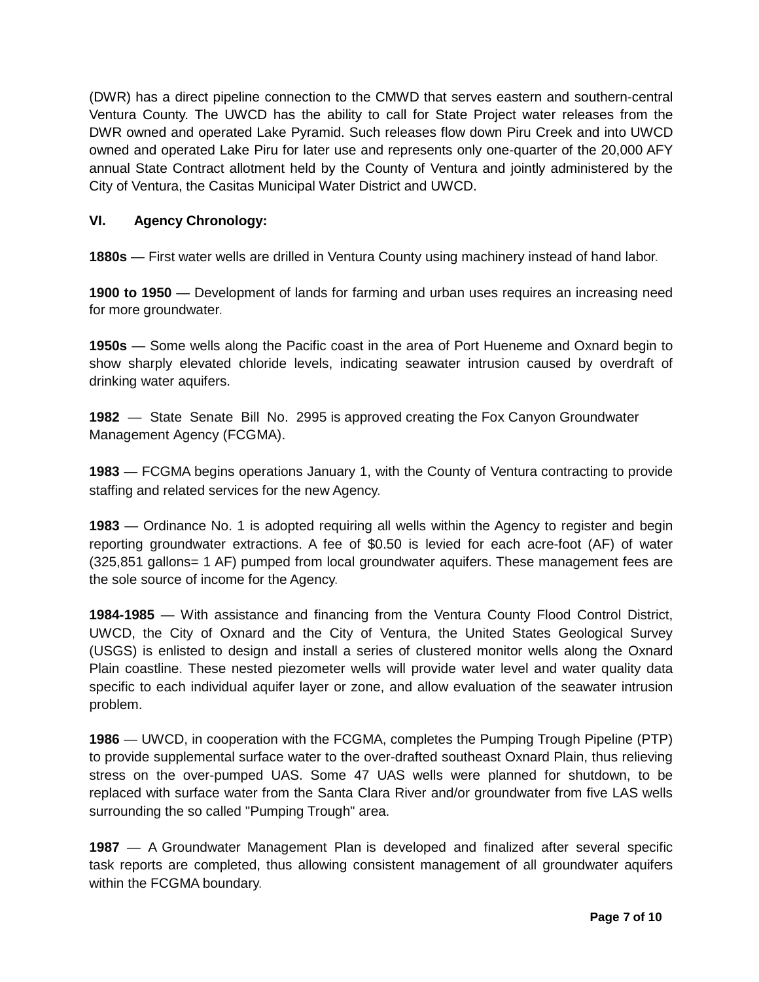(DWR) has a direct pipeline connection to the CMWD that serves eastern and southern-central Ventura County. The UWCD has the ability to call for State Project water releases from the DWR owned and operated Lake Pyramid. Such releases flow down Piru Creek and into UWCD owned and operated Lake Piru for later use and represents only one-quarter of the 20,000 AFY annual State Contract allotment held by the County of Ventura and jointly administered by the City of Ventura, the Casitas Municipal Water District and UWCD.

## **VI. Agency Chronology:**

**1880s** — First water wells are drilled in Ventura County using machinery instead of hand labor.

**1900 to 1950** — Development of lands for farming and urban uses requires an increasing need for more groundwater.

**1950s** — Some wells along the Pacific coast in the area of Port Hueneme and Oxnard begin to show sharply elevated chloride levels, indicating seawater intrusion caused by overdraft of drinking water aquifers.

**1982** — State Senate Bill No. 2995 is approved creating the Fox Canyon Groundwater Management Agency (FCGMA).

**1983** — FCGMA begins operations January 1, with the County of Ventura contracting to provide staffing and related services for the new Agency.

**1983** — Ordinance No. 1 is adopted requiring all wells within the Agency to register and begin reporting groundwater extractions. A fee of \$0.50 is levied for each acre-foot (AF) of water (325,851 gallons= 1 AF) pumped from local groundwater aquifers. These management fees are the sole source of income for the Agency.

**1984-1985** — With assistance and financing from the Ventura County Flood Control District, UWCD, the City of Oxnard and the City of Ventura, the United States Geological Survey (USGS) is enlisted to design and install a series of clustered monitor wells along the Oxnard Plain coastline. These nested piezometer wells will provide water level and water quality data specific to each individual aquifer layer or zone, and allow evaluation of the seawater intrusion problem.

**1986** — UWCD, in cooperation with the FCGMA, completes the Pumping Trough Pipeline (PTP) to provide supplemental surface water to the over-drafted southeast Oxnard Plain, thus relieving stress on the over-pumped UAS. Some 47 UAS wells were planned for shutdown, to be replaced with surface water from the Santa Clara River and/or groundwater from five LAS wells surrounding the so called "Pumping Trough" area.

**1987** — A Groundwater Management Plan is developed and finalized after several specific task reports are completed, thus allowing consistent management of all groundwater aquifers within the FCGMA boundary.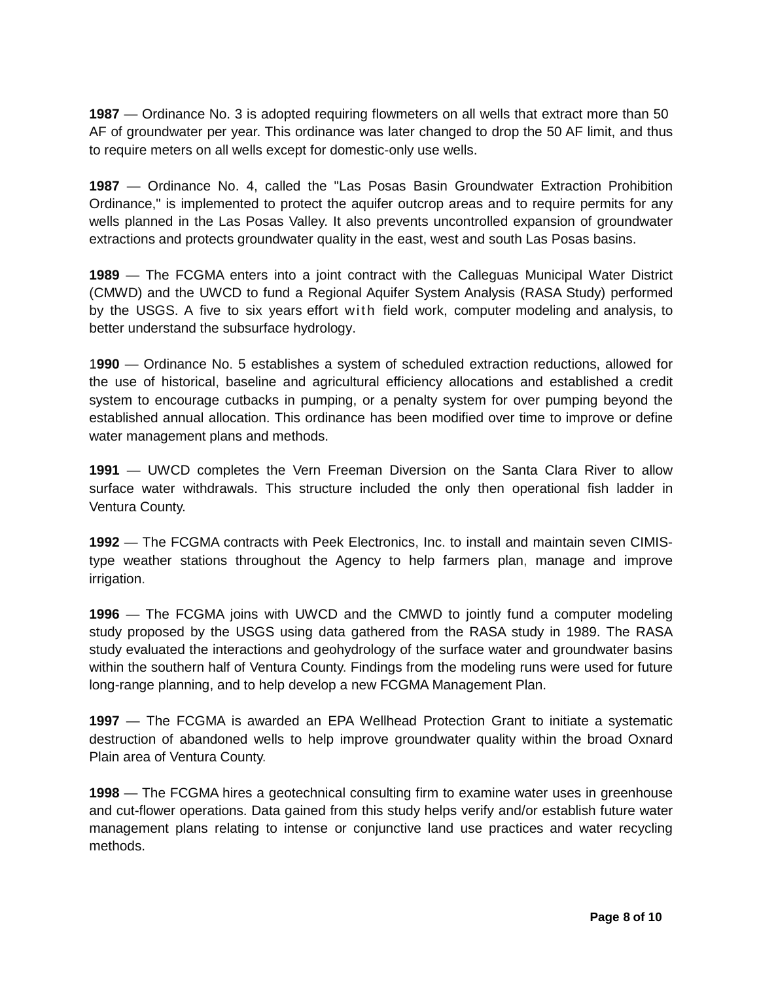**1987** — Ordinance No. 3 is adopted requiring flowmeters on all wells that extract more than 50 AF of groundwater per year. This ordinance was later changed to drop the 50 AF limit, and thus to require meters on all wells except for domestic-only use wells.

**1987** — Ordinance No. 4, called the "Las Posas Basin Groundwater Extraction Prohibition Ordinance," is implemented to protect the aquifer outcrop areas and to require permits for any wells planned in the Las Posas Valley. It also prevents uncontrolled expansion of groundwater extractions and protects groundwater quality in the east, west and south Las Posas basins.

**1989** — The FCGMA enters into a joint contract with the Calleguas Municipal Water District (CMWD) and the UWCD to fund a Regional Aquifer System Analysis (RASA Study) performed by the USGS. A five to six years effort with field work, computer modeling and analysis, to better understand the subsurface hydrology.

1**990** — Ordinance No. 5 establishes a system of scheduled extraction reductions, allowed for the use of historical, baseline and agricultural efficiency allocations and established a credit system to encourage cutbacks in pumping, or a penalty system for over pumping beyond the established annual allocation. This ordinance has been modified over time to improve or define water management plans and methods.

**1991** — UWCD completes the Vern Freeman Diversion on the Santa Clara River to allow surface water withdrawals. This structure included the only then operational fish ladder in Ventura County.

**1992** — The FCGMA contracts with Peek Electronics, Inc. to install and maintain seven CIMIStype weather stations throughout the Agency to help farmers plan, manage and improve irrigation.

**1996** — The FCGMA joins with UWCD and the CMWD to jointly fund a computer modeling study proposed by the USGS using data gathered from the RASA study in 1989. The RASA study evaluated the interactions and geohydrology of the surface water and groundwater basins within the southern half of Ventura County. Findings from the modeling runs were used for future long-range planning, and to help develop a new FCGMA Management Plan.

**1997** — The FCGMA is awarded an EPA Wellhead Protection Grant to initiate a systematic destruction of abandoned wells to help improve groundwater quality within the broad Oxnard Plain area of Ventura County.

**1998** — The FCGMA hires a geotechnical consulting firm to examine water uses in greenhouse and cut-flower operations. Data gained from this study helps verify and/or establish future water management plans relating to intense or conjunctive land use practices and water recycling methods.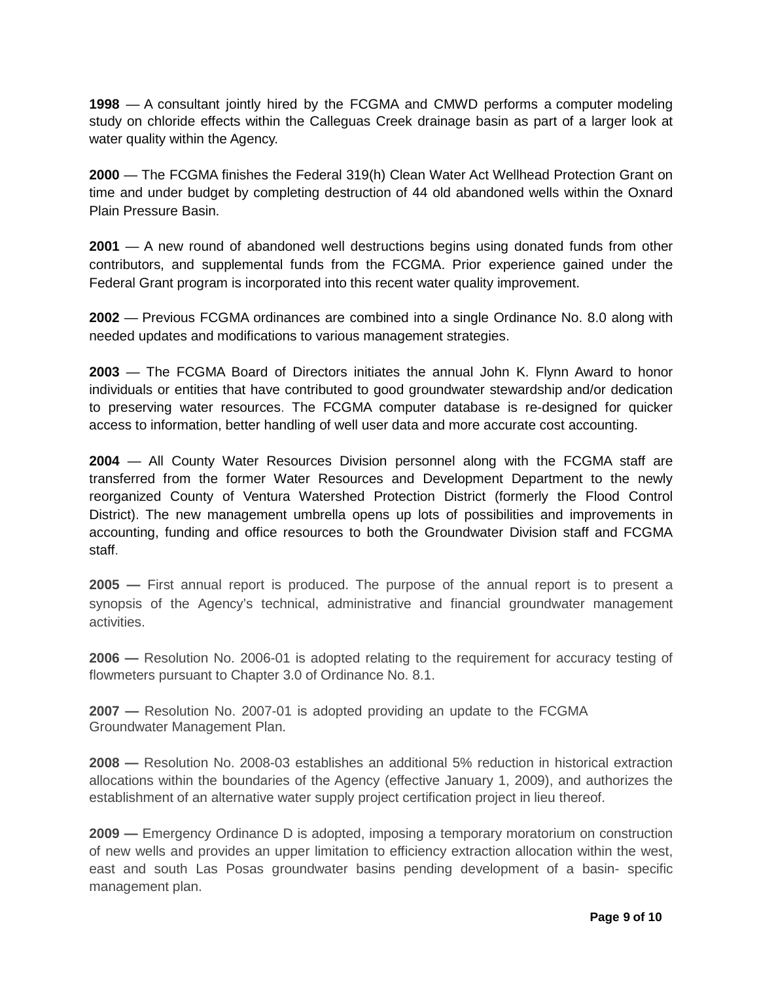**1998** — A consultant jointly hired by the FCGMA and CMWD performs a computer modeling study on chloride effects within the Calleguas Creek drainage basin as part of a larger look at water quality within the Agency.

**2000** — The FCGMA finishes the Federal 319(h) Clean Water Act Wellhead Protection Grant on time and under budget by completing destruction of 44 old abandoned wells within the Oxnard Plain Pressure Basin.

**2001** — A new round of abandoned well destructions begins using donated funds from other contributors, and supplemental funds from the FCGMA. Prior experience gained under the Federal Grant program is incorporated into this recent water quality improvement.

**2002** — Previous FCGMA ordinances are combined into a single Ordinance No. 8.0 along with needed updates and modifications to various management strategies.

**2003** — The FCGMA Board of Directors initiates the annual John K. Flynn Award to honor individuals or entities that have contributed to good groundwater stewardship and/or dedication to preserving water resources. The FCGMA computer database is re-designed for quicker access to information, better handling of well user data and more accurate cost accounting.

**2004** — All County Water Resources Division personnel along with the FCGMA staff are transferred from the former Water Resources and Development Department to the newly reorganized County of Ventura Watershed Protection District (formerly the Flood Control District). The new management umbrella opens up lots of possibilities and improvements in accounting, funding and office resources to both the Groundwater Division staff and FCGMA staff.

**2005 —** First annual report is produced. The purpose of the annual report is to present a synopsis of the Agency's technical, administrative and financial groundwater management activities.

**2006 —** Resolution No. 2006-01 is adopted relating to the requirement for accuracy testing of flowmeters pursuant to Chapter 3.0 of Ordinance No. 8.1.

**2007 —** Resolution No. 2007-01 is adopted providing an update to the FCGMA Groundwater Management Plan.

**2008 —** Resolution No. 2008-03 establishes an additional 5% reduction in historical extraction allocations within the boundaries of the Agency (effective January 1, 2009), and authorizes the establishment of an alternative water supply project certification project in lieu thereof.

**2009 —** Emergency Ordinance D is adopted, imposing a temporary moratorium on construction of new wells and provides an upper limitation to efficiency extraction allocation within the west, east and south Las Posas groundwater basins pending development of a basin- specific management plan.